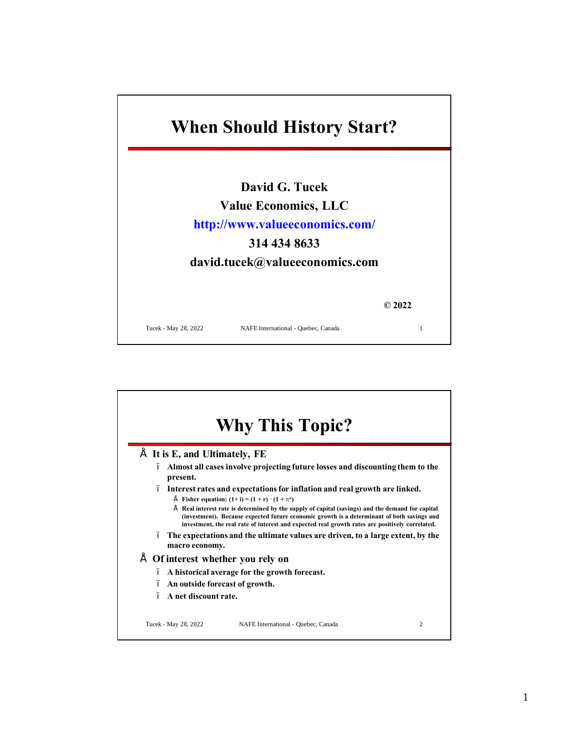

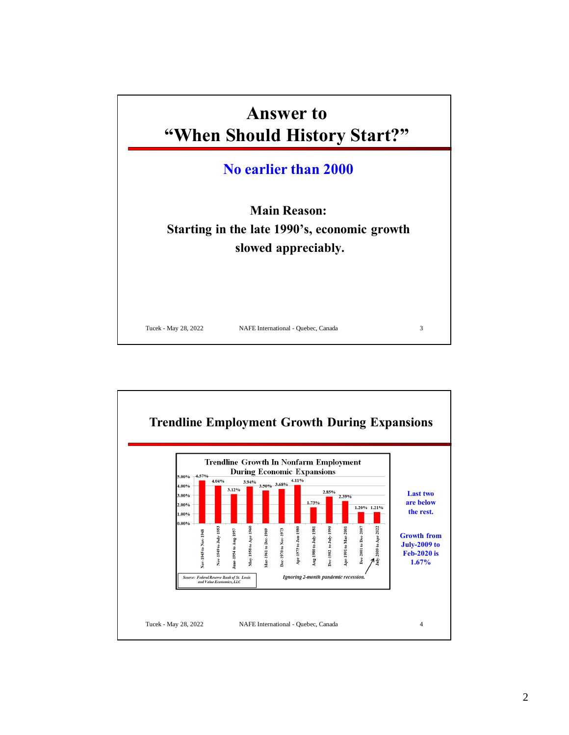

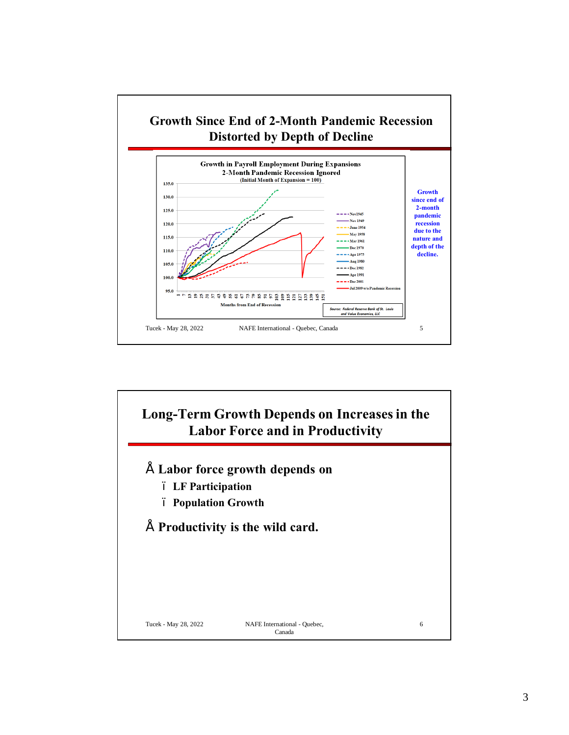

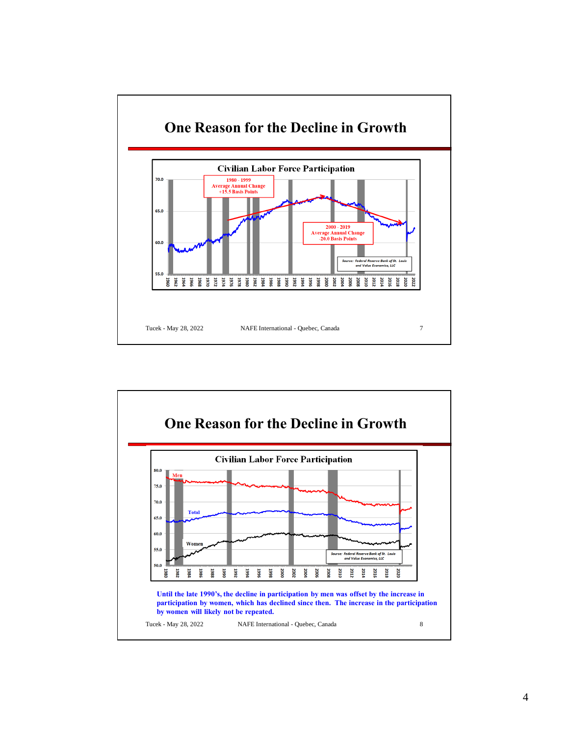

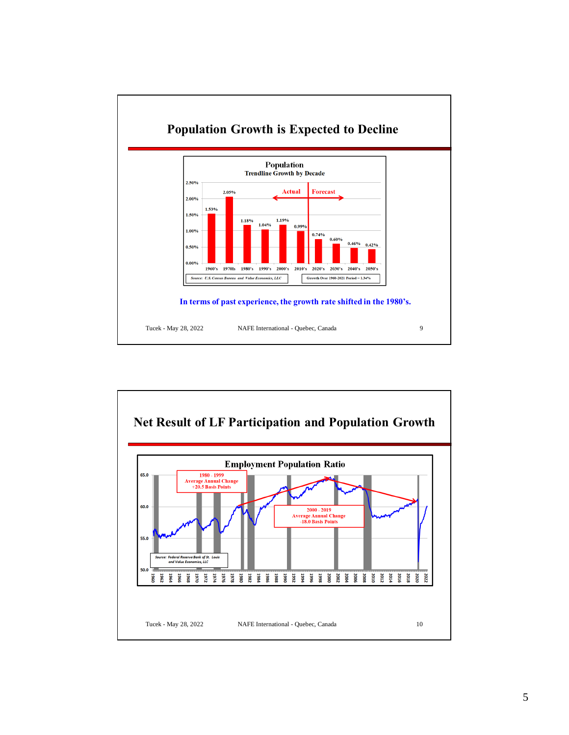

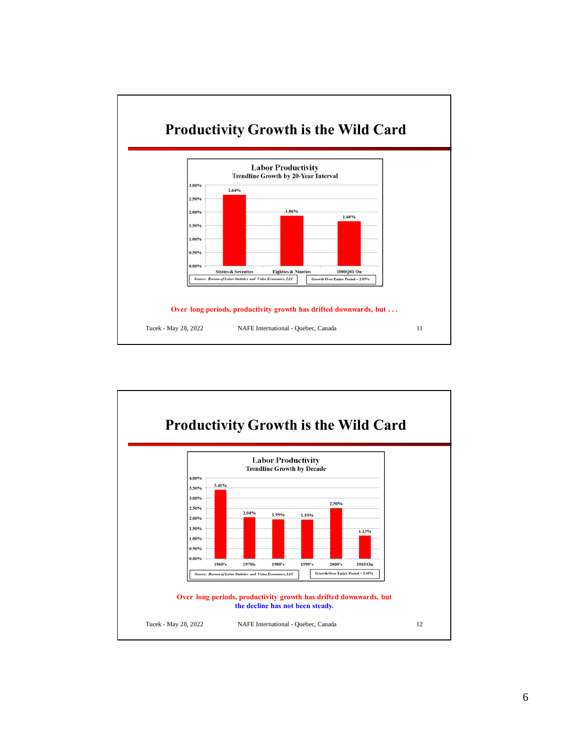

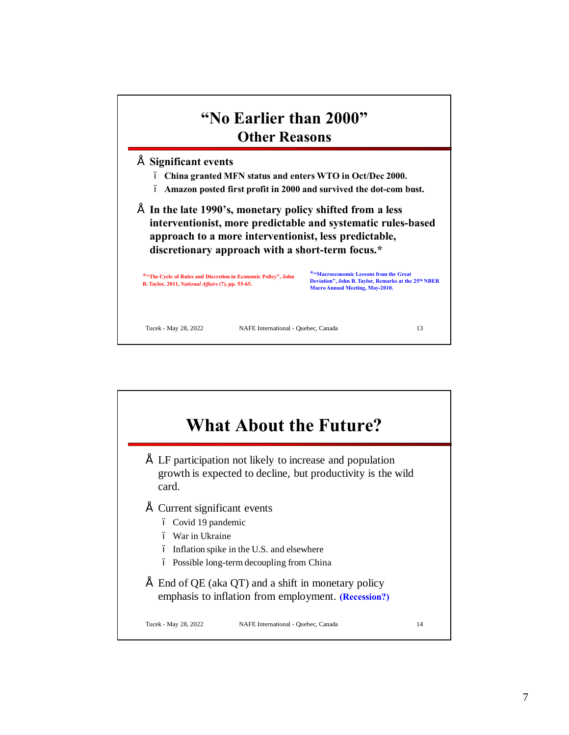

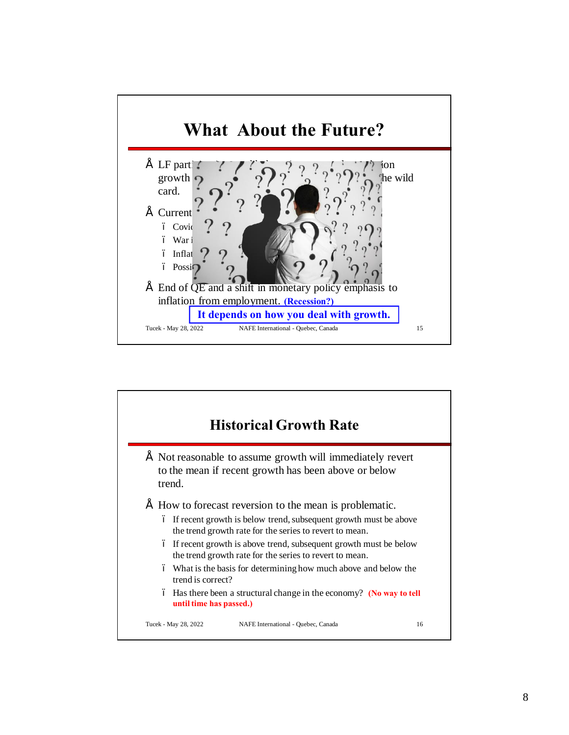

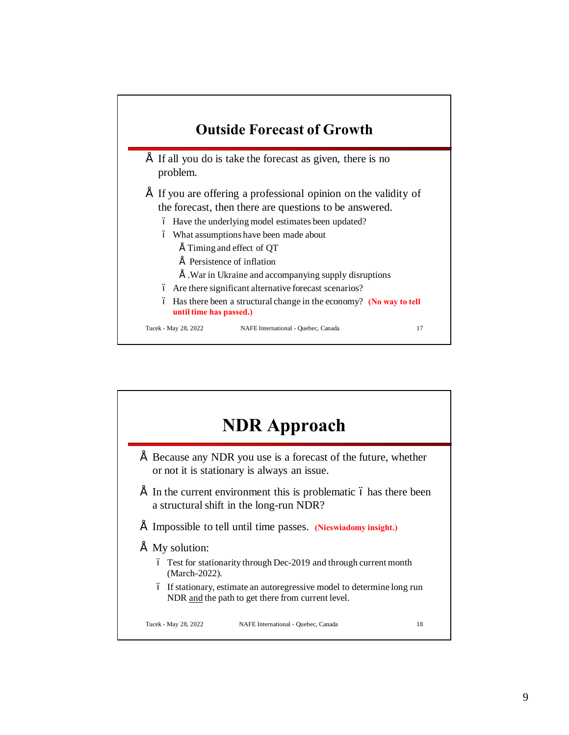

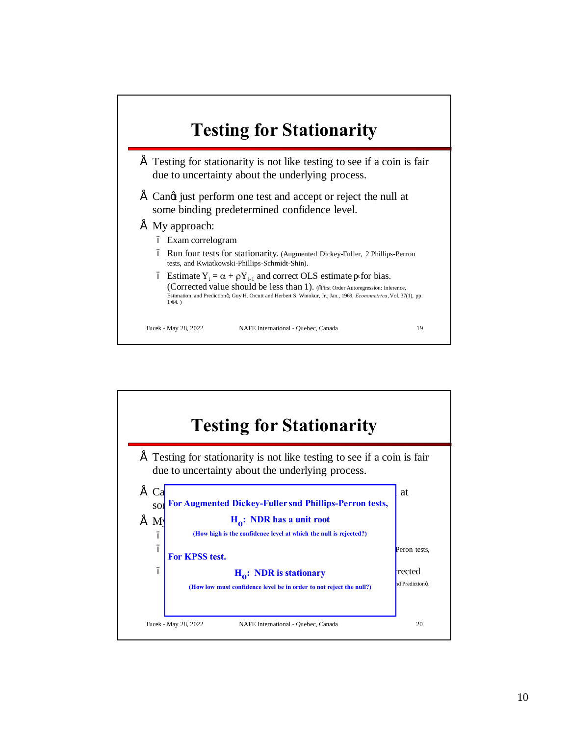

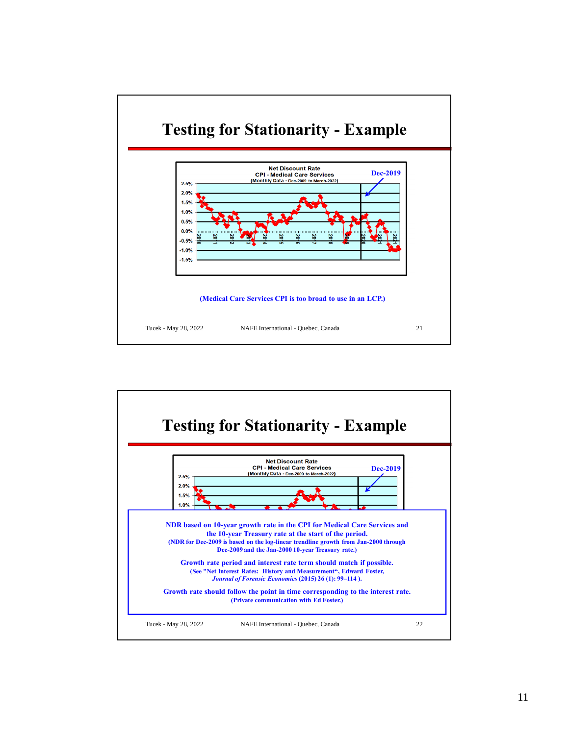

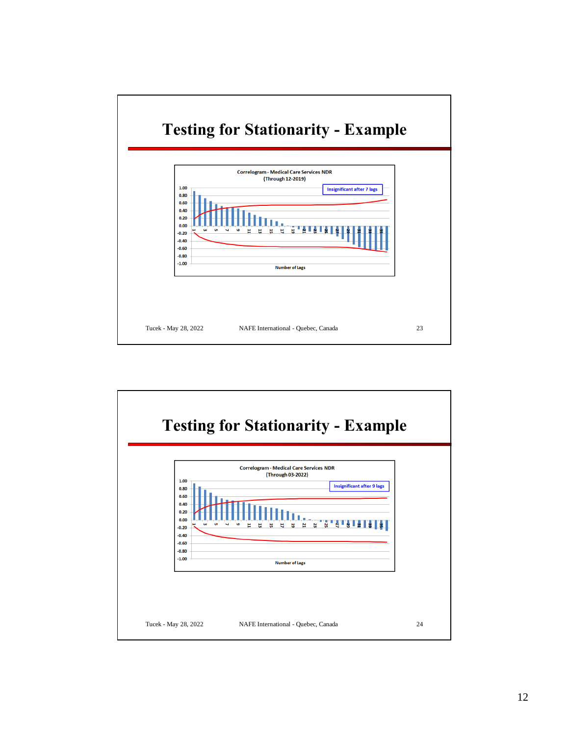

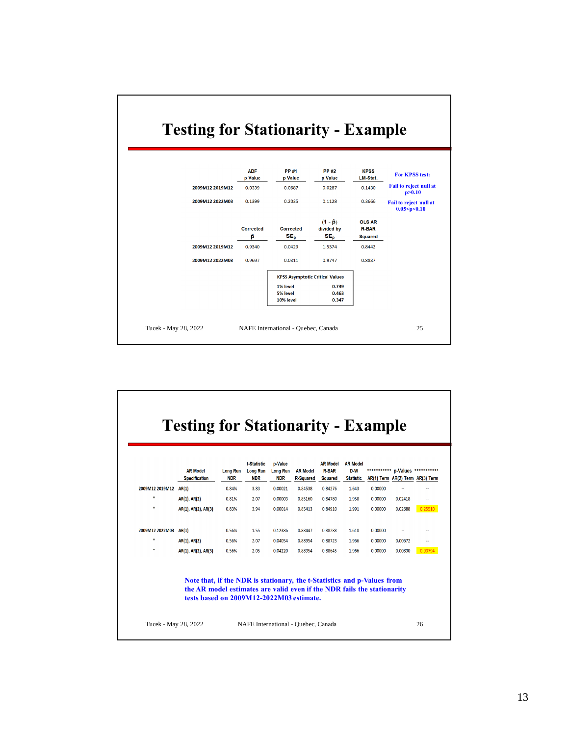|                 | <b>ADF</b><br>p Value | <b>PP#1</b><br>p Value              | <b>PP#2</b><br>p Value                           | <b>KPSS</b><br><b>LM-Stat.</b>                  | For KPSS test:                            |  |
|-----------------|-----------------------|-------------------------------------|--------------------------------------------------|-------------------------------------------------|-------------------------------------------|--|
| 2009M12 2019M12 | 0.0339                | 0.0687                              | 0.0287                                           | 0.1430                                          | Fail to reject null at<br>p > 0.10        |  |
| 2009M12 2022M03 | 0.1399                | 0.2035                              | 0.1128                                           | 0.3666                                          | Fail to reject null at<br>0.05 < p < 0.10 |  |
|                 | <b>Corrected</b><br>ê | <b>Corrected</b><br>SE <sub>ô</sub> | $(1 - \hat{p})$<br>divided by<br>SE <sub>ô</sub> | <b>OLS AR</b><br><b>R-BAR</b><br><b>Squared</b> |                                           |  |
| 2009M12 2019M12 | 0.9340                | 0.0429                              | 1.5374                                           | 0.8442                                          |                                           |  |
| 2009M12 2022M03 | 0.9697                | 0.0311                              | 0.9747                                           | 0.8837                                          |                                           |  |
|                 |                       |                                     |                                                  |                                                 |                                           |  |
|                 |                       | 1% level<br>5% level<br>10% level   | 0.739<br>0.463<br>0.347                          |                                                 |                                           |  |
|                 |                       |                                     |                                                  | <b>KPSS Asymptotic Critical Values</b>          | <b>Testing for Stationarity - Example</b> |  |

 $\overline{\Gamma}$ 

|                       | <b>AR Model</b>                                                                                                                                                                                | <b>Long Run</b> | t-Statistic<br><b>Long Run</b> | <b>p</b> -Value<br><b>Long Run</b> | <b>AR Model</b>  | <b>AR Model</b><br><b>R-BAR</b> | <b>AR Model</b><br>D-W | *********** p-Values *********** |         |                |
|-----------------------|------------------------------------------------------------------------------------------------------------------------------------------------------------------------------------------------|-----------------|--------------------------------|------------------------------------|------------------|---------------------------------|------------------------|----------------------------------|---------|----------------|
|                       | <b>Specification</b>                                                                                                                                                                           | <b>NDR</b>      | <b>NDR</b>                     | <b>NDR</b>                         | <b>R-Squared</b> | <b>Squared</b>                  | <b>Statistic</b>       | AR(1) Term AR(2) Term AR(3) Term |         |                |
| 2009M12 2019M12 AR(1) |                                                                                                                                                                                                | 0.84%           | 3.83                           | 0.00021                            | 0.84538          | 0.84276                         | 1.643                  | 0.00000                          | ц,      | н,             |
| $\mathbf{u}$          | AR(1), AR(2)                                                                                                                                                                                   | 0.81%           | 2.07                           | 0.00003                            | 0.85160          | 0.84780                         | 1.958                  | 0.00000                          | 0.02418 | μ.             |
| ш                     | AR(1), AR(2), AR(3)                                                                                                                                                                            | 0.83%           | 3.94                           | 0.00014                            | 0.85413          | 0.84910                         | 1.991                  | 0.00000                          | 0.02688 | 0.25510        |
| 2009M12 2022M03       | AR(1)                                                                                                                                                                                          | 0.56%           | 1.55                           | 0.12386                            | 0.88447          | 0.88288                         | 1.610                  | 0.00000                          | $\sim$  |                |
| $\mathbf{H}$          | AR(1), AR(2)                                                                                                                                                                                   | 0.56%           | 2.07                           | 0.04054                            | 0.88954          | 0.88723                         | 1.966                  | 0.00000                          | 0.00672 | $\overline{a}$ |
| $\mathbf{u}$          | AR(1), AR(2), AR(3)                                                                                                                                                                            | 0.56%           | 2.05                           | 0.04220                            | 0.88954          | 0.88645                         | 1.966                  | 0.00000                          | 0.00830 | 0.9379         |
|                       | Note that, if the NDR is stationary, the t-Statistics and p-Values from<br>the AR model estimates are valid even if the NDR fails the stationarity<br>tests based on 2009M12-2022M03 estimate. |                 |                                |                                    |                  |                                 |                        |                                  |         |                |

٦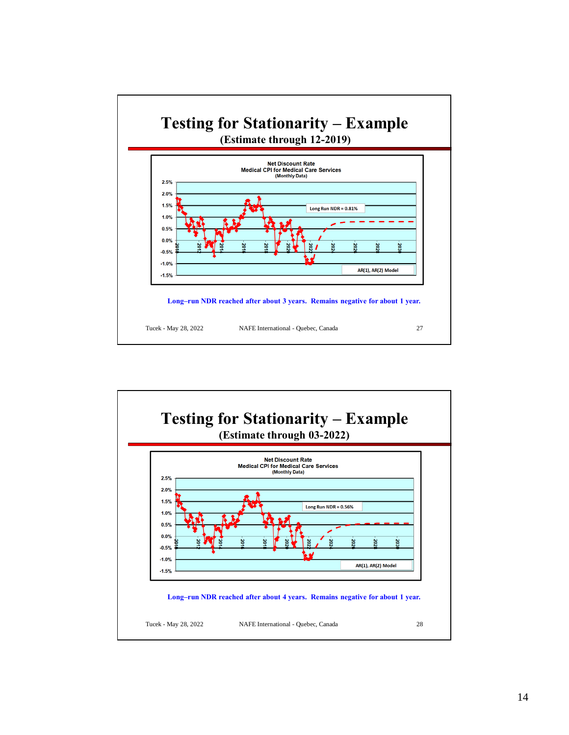